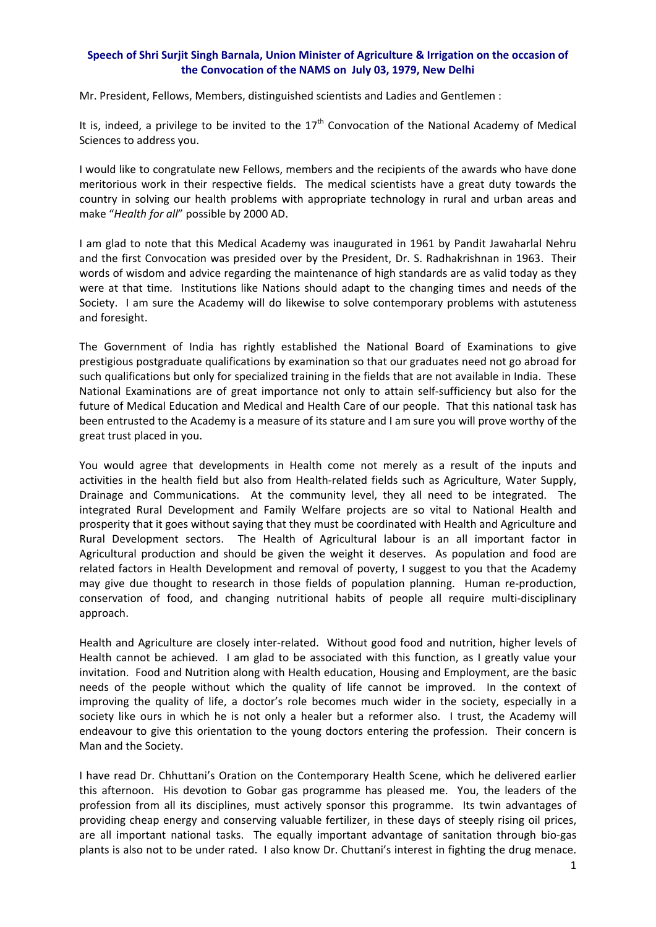## **Speech of Shri Surjit Singh Barnala, Union Minister of Agriculture & Irrigation on the occasion of the Convocation of the NAMS on July 03, 1979, New Delhi**

Mr. President, Fellows, Members, distinguished scientists and Ladies and Gentlemen :

It is, indeed, a privilege to be invited to the  $17<sup>th</sup>$  Convocation of the National Academy of Medical Sciences to address you.

I would like to congratulate new Fellows, members and the recipients of the awards who have done meritorious work in their respective fields. The medical scientists have a great duty towards the country in solving our health problems with appropriate technology in rural and urban areas and make "*Health for all*" possible by 2000 AD.

I am glad to note that this Medical Academy was inaugurated in 1961 by Pandit Jawaharlal Nehru and the first Convocation was presided over by the President, Dr. S. Radhakrishnan in 1963. Their words of wisdom and advice regarding the maintenance of high standards are as valid today as they were at that time. Institutions like Nations should adapt to the changing times and needs of the Society. I am sure the Academy will do likewise to solve contemporary problems with astuteness and foresight.

The Government of India has rightly established the National Board of Examinations to give prestigious postgraduate qualifications by examination so that our graduates need not go abroad for such qualifications but only for specialized training in the fields that are not available in India. These National Examinations are of great importance not only to attain self‐sufficiency but also for the future of Medical Education and Medical and Health Care of our people. That this national task has been entrusted to the Academy is a measure of its stature and I am sure you will prove worthy of the great trust placed in you.

You would agree that developments in Health come not merely as a result of the inputs and activities in the health field but also from Health-related fields such as Agriculture, Water Supply, Drainage and Communications. At the community level, they all need to be integrated. The integrated Rural Development and Family Welfare projects are so vital to National Health and prosperity that it goes without saying that they must be coordinated with Health and Agriculture and Rural Development sectors. The Health of Agricultural labour is an all important factor in Agricultural production and should be given the weight it deserves. As population and food are related factors in Health Development and removal of poverty, I suggest to you that the Academy may give due thought to research in those fields of population planning. Human re-production, conservation of food, and changing nutritional habits of people all require multi‐disciplinary approach.

Health and Agriculture are closely inter-related. Without good food and nutrition, higher levels of Health cannot be achieved. I am glad to be associated with this function, as I greatly value your invitation. Food and Nutrition along with Health education, Housing and Employment, are the basic needs of the people without which the quality of life cannot be improved. In the context of improving the quality of life, a doctor's role becomes much wider in the society, especially in a society like ours in which he is not only a healer but a reformer also. I trust, the Academy will endeavour to give this orientation to the young doctors entering the profession. Their concern is Man and the Society.

I have read Dr. Chhuttani's Oration on the Contemporary Health Scene, which he delivered earlier this afternoon. His devotion to Gobar gas programme has pleased me. You, the leaders of the profession from all its disciplines, must actively sponsor this programme. Its twin advantages of providing cheap energy and conserving valuable fertilizer, in these days of steeply rising oil prices, are all important national tasks. The equally important advantage of sanitation through bio-gas plants is also not to be under rated. I also know Dr. Chuttani's interest in fighting the drug menace.